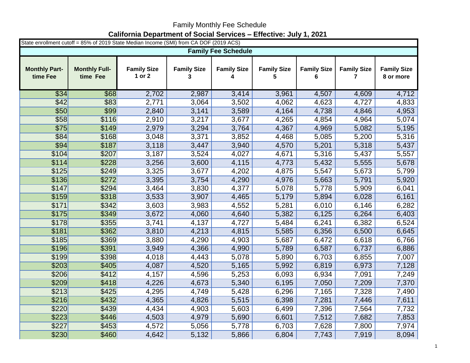## Family Monthly Fee Schedule **California Department of Social Services – Effective: July 1, 2021**

| State enrollment cutoff = 85% of 2019 State Median Income (SMI) from CA DOF (2019 ACS) |                                  |                              |                         |                         |                         |                         |                         |                                 |  |  |  |  |
|----------------------------------------------------------------------------------------|----------------------------------|------------------------------|-------------------------|-------------------------|-------------------------|-------------------------|-------------------------|---------------------------------|--|--|--|--|
| <b>Family Fee Schedule</b>                                                             |                                  |                              |                         |                         |                         |                         |                         |                                 |  |  |  |  |
| <b>Monthly Part-</b><br>time Fee                                                       | <b>Monthly Full-</b><br>time Fee | <b>Family Size</b><br>1 or 2 | <b>Family Size</b><br>3 | <b>Family Size</b><br>4 | <b>Family Size</b><br>5 | <b>Family Size</b><br>6 | <b>Family Size</b><br>7 | <b>Family Size</b><br>8 or more |  |  |  |  |
| \$34                                                                                   | \$68                             | 2,702                        | 2,987                   | 3,414                   | 3,961                   | 4,507                   | 4,609                   | 4,712                           |  |  |  |  |
| \$42                                                                                   | \$83                             | 2,771                        | 3,064                   | 3,502                   | 4,062                   | 4,623                   | 4,727                   | 4,833                           |  |  |  |  |
| \$50                                                                                   | \$99                             | 2,840                        | 3,141                   | 3,589                   | 4,164                   | 4,738                   | 4,846                   | 4,953                           |  |  |  |  |
| \$58                                                                                   | \$116                            | 2,910                        | 3,217                   | 3,677                   | 4,265                   | 4,854                   | 4,964                   | 5,074                           |  |  |  |  |
| \$75                                                                                   | \$149                            | 2,979                        | 3,294                   | 3,764                   | 4,367                   | 4,969                   | 5,082                   | 5,195                           |  |  |  |  |
| \$84                                                                                   | \$168                            | 3,048                        | 3,371                   | 3,852                   | 4,468                   | 5,085                   | 5,200                   | 5,316                           |  |  |  |  |
| \$94                                                                                   | \$187                            | 3,118                        | 3,447                   | 3,940                   | 4,570                   | 5,201                   | 5,318                   | 5,437                           |  |  |  |  |
| \$104                                                                                  | \$207                            | 3,187                        | 3,524                   | 4,027                   | 4,671                   | 5,316                   | 5,437                   | 5,557                           |  |  |  |  |
| \$114                                                                                  | \$228                            | 3,256                        | 3,600                   | 4,115                   | 4,773                   | 5,432                   | 5,555                   | 5,678                           |  |  |  |  |
| \$125                                                                                  | \$249                            | 3,325                        | 3,677                   | 4,202                   | 4,875                   | 5,547                   | 5,673                   | 5,799                           |  |  |  |  |
| \$136                                                                                  | \$272                            | 3,395                        | 3,754                   | 4,290                   | 4,976                   | 5,663                   | 5,791                   | 5,920                           |  |  |  |  |
| \$147                                                                                  | \$294                            | 3,464                        | 3,830                   | 4,377                   | 5,078                   | 5,778                   | 5,909                   | 6,041                           |  |  |  |  |
| \$159                                                                                  | \$318                            | 3,533                        | 3,907                   | 4,465                   | 5,179                   | 5,894                   | 6,028                   | 6,161                           |  |  |  |  |
| \$171                                                                                  | \$342                            | 3,603                        | 3,983                   | 4,552                   | 5,281                   | 6,010                   | 6,146                   | 6,282                           |  |  |  |  |
| \$175                                                                                  | \$349                            | 3,672                        | 4,060                   | 4,640                   | 5,382                   | 6,125                   | 6,264                   | 6,403                           |  |  |  |  |
| \$178                                                                                  | \$355                            | 3,741                        | 4,137                   | 4,727                   | 5,484                   | 6,241                   | 6,382                   | 6,524                           |  |  |  |  |
| \$181                                                                                  | \$362                            | 3,810                        | 4,213                   | 4,815                   | 5,585                   | 6,356                   | 6,500                   | 6,645                           |  |  |  |  |
| \$185                                                                                  | \$369                            | 3,880                        | 4,290                   | 4,903                   | 5,687                   | 6,472                   | 6,618                   | 6,766                           |  |  |  |  |
| \$196                                                                                  | \$391                            | 3,949                        | 4,366                   | 4,990                   | 5,789                   | 6,587                   | 6,737                   | 6,886                           |  |  |  |  |
| \$199                                                                                  | \$398                            | 4,018                        | 4,443                   | 5,078                   | 5,890                   | 6,703                   | 6,855                   | 7,007                           |  |  |  |  |
| \$203                                                                                  | \$405                            | 4,087                        | 4,520                   | 5,165                   | 5,992                   | 6,819                   | 6,973                   | 7,128                           |  |  |  |  |
| \$206                                                                                  | \$412                            | 4,157                        | 4,596                   | 5,253                   | 6,093                   | 6,934                   | 7,091                   | 7,249                           |  |  |  |  |
| \$209                                                                                  | \$418                            | 4,226                        | 4,673                   | 5,340                   | 6,195                   | 7,050                   | 7,209                   | 7,370                           |  |  |  |  |
| \$213                                                                                  | \$425                            | 4,295                        | 4,749                   | 5,428                   | 6,296                   | 7,165                   | 7,328                   | 7,490                           |  |  |  |  |
| \$216                                                                                  | \$432                            | 4,365                        | 4,826                   | 5,515                   | 6,398                   | 7,281                   | 7,446                   | 7,611                           |  |  |  |  |
| \$220                                                                                  | \$439                            | 4,434                        | 4,903                   | 5,603                   | 6,499                   | 7,396                   | 7,564                   | 7,732                           |  |  |  |  |
| \$223                                                                                  | \$446                            | 4,503                        | 4,979                   | 5,690                   | 6,601                   | 7,512                   | 7,682                   | 7,853                           |  |  |  |  |
| \$227                                                                                  | \$453                            | 4,572                        | 5,056                   | 5,778                   | 6,703                   | 7,628                   | 7,800                   | 7,974                           |  |  |  |  |
| \$230                                                                                  | \$460                            | 4,642                        | 5,132                   | 5,866                   | 6,804                   | 7,743                   | 7,919                   | 8,094                           |  |  |  |  |